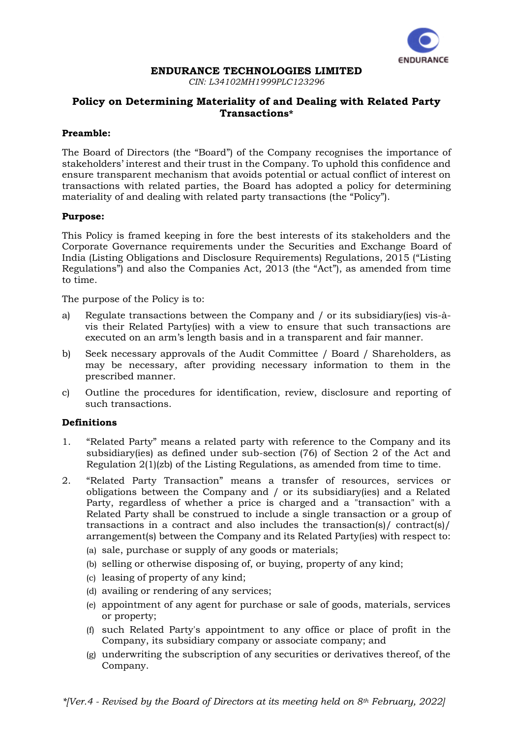

#### **ENDURANCE TECHNOLOGIES LIMITED**

*CIN: L34102MH1999PLC123296*

# **Policy on Determining Materiality of and Dealing with Related Party Transactions\***

# **Preamble:**

The Board of Directors (the "Board") of the Company recognises the importance of stakeholders' interest and their trust in the Company. To uphold this confidence and ensure transparent mechanism that avoids potential or actual conflict of interest on transactions with related parties, the Board has adopted a policy for determining materiality of and dealing with related party transactions (the "Policy").

### **Purpose:**

This Policy is framed keeping in fore the best interests of its stakeholders and the Corporate Governance requirements under the Securities and Exchange Board of India (Listing Obligations and Disclosure Requirements) Regulations, 2015 ("Listing Regulations") and also the Companies Act, 2013 (the "Act"), as amended from time to time.

The purpose of the Policy is to:

- a) Regulate transactions between the Company and / or its subsidiary(ies) vis-àvis their Related Party(ies) with a view to ensure that such transactions are executed on an arm's length basis and in a transparent and fair manner.
- b) Seek necessary approvals of the Audit Committee / Board / Shareholders, as may be necessary, after providing necessary information to them in the prescribed manner.
- c) Outline the procedures for identification, review, disclosure and reporting of such transactions.

# **Definitions**

- 1. "Related Party" means a related party with reference to the Company and its subsidiary(ies) as defined under sub-section (76) of Section 2 of the Act and Regulation 2(1)(zb) of the Listing Regulations, as amended from time to time.
- 2. "Related Party Transaction" means a transfer of resources, services or obligations between the Company and / or its subsidiary(ies) and a Related Party, regardless of whether a price is charged and a "transaction" with a Related Party shall be construed to include a single transaction or a group of transactions in a contract and also includes the transaction(s)/ contract(s)/ arrangement(s) between the Company and its Related Party(ies) with respect to:
	- (a) sale, purchase or supply of any goods or materials;
	- (b) selling or otherwise disposing of, or buying, property of any kind;
	- (c) leasing of property of any kind;
	- (d) availing or rendering of any services;
	- (e) appointment of any agent for purchase or sale of goods, materials, services or property;
	- (f) such Related Party's appointment to any office or place of profit in the Company, its subsidiary company or associate company; and
	- (g) underwriting the subscription of any securities or derivatives thereof, of the Company.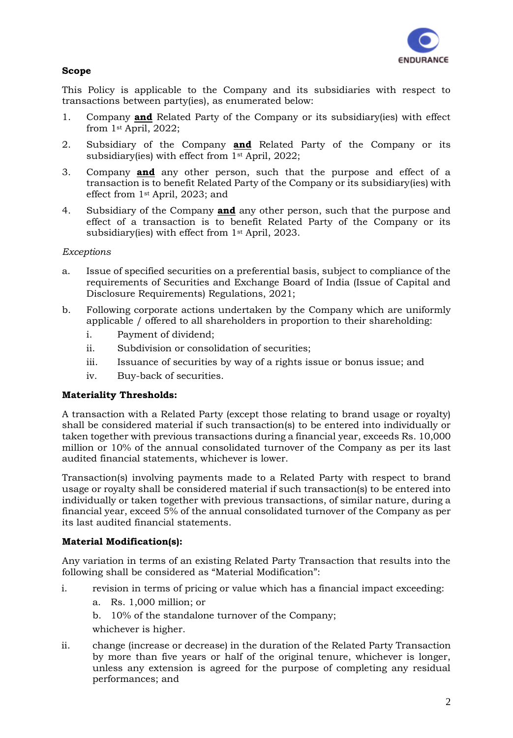

# **Scope**

This Policy is applicable to the Company and its subsidiaries with respect to transactions between party(ies), as enumerated below:

- 1. Company **and** Related Party of the Company or its subsidiary(ies) with effect from 1st April, 2022;
- 2. Subsidiary of the Company **and** Related Party of the Company or its subsidiary(ies) with effect from 1st April, 2022;
- 3. Company **and** any other person, such that the purpose and effect of a transaction is to benefit Related Party of the Company or its subsidiary(ies) with effect from 1st April, 2023; and
- 4. Subsidiary of the Company **and** any other person, such that the purpose and effect of a transaction is to benefit Related Party of the Company or its subsidiary(ies) with effect from 1st April, 2023.

### *Exceptions*

- a. Issue of specified securities on a preferential basis, subject to compliance of the requirements of Securities and Exchange Board of India (Issue of Capital and Disclosure Requirements) Regulations, 2021;
- b. Following corporate actions undertaken by the Company which are uniformly applicable / offered to all shareholders in proportion to their shareholding:
	- i. Payment of dividend;
	- ii. Subdivision or consolidation of securities;
	- iii. Issuance of securities by way of a rights issue or bonus issue; and
	- iv. Buy-back of securities.

#### **Materiality Thresholds:**

A transaction with a Related Party (except those relating to brand usage or royalty) shall be considered material if such transaction(s) to be entered into individually or taken together with previous transactions during a financial year, exceeds Rs. 10,000 million or 10% of the annual consolidated turnover of the Company as per its last audited financial statements, whichever is lower.

Transaction(s) involving payments made to a Related Party with respect to brand usage or royalty shall be considered material if such transaction(s) to be entered into individually or taken together with previous transactions, of similar nature, during a financial year, exceed 5% of the annual consolidated turnover of the Company as per its last audited financial statements.

# **Material Modification(s):**

Any variation in terms of an existing Related Party Transaction that results into the following shall be considered as "Material Modification":

- i. revision in terms of pricing or value which has a financial impact exceeding:
	- a. Rs. 1,000 million; or
	- b. 10% of the standalone turnover of the Company;
	- whichever is higher.
- ii. change (increase or decrease) in the duration of the Related Party Transaction by more than five years or half of the original tenure, whichever is longer, unless any extension is agreed for the purpose of completing any residual performances; and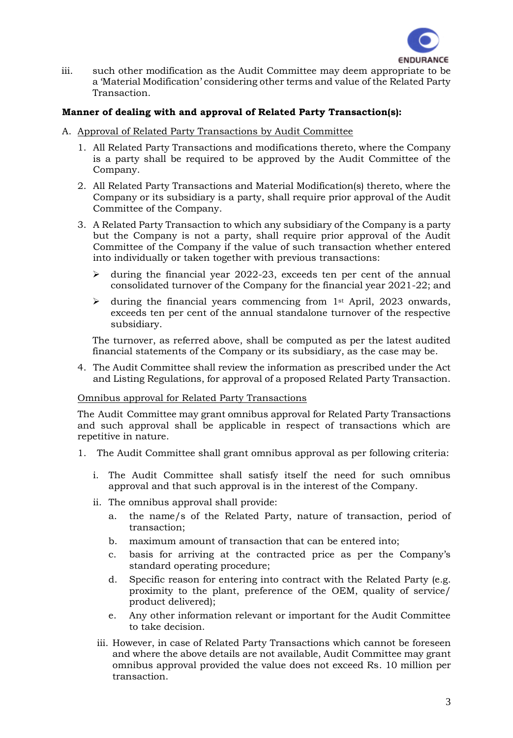

iii. such other modification as the Audit Committee may deem appropriate to be a 'Material Modification' considering other terms and value of the Related Party Transaction.

### **Manner of dealing with and approval of Related Party Transaction(s):**

#### A. Approval of Related Party Transactions by Audit Committee

- 1. All Related Party Transactions and modifications thereto, where the Company is a party shall be required to be approved by the Audit Committee of the Company.
- 2. All Related Party Transactions and Material Modification(s) thereto, where the Company or its subsidiary is a party, shall require prior approval of the Audit Committee of the Company.
- 3. A Related Party Transaction to which any subsidiary of the Company is a party but the Company is not a party, shall require prior approval of the Audit Committee of the Company if the value of such transaction whether entered into individually or taken together with previous transactions:
	- $\triangleright$  during the financial year 2022-23, exceeds ten per cent of the annual consolidated turnover of the Company for the financial year 2021-22; and
	- $\triangleright$  during the financial years commencing from 1<sup>st</sup> April, 2023 onwards, exceeds ten per cent of the annual standalone turnover of the respective subsidiary.

The turnover, as referred above, shall be computed as per the latest audited financial statements of the Company or its subsidiary, as the case may be.

4. The Audit Committee shall review the information as prescribed under the Act and Listing Regulations, for approval of a proposed Related Party Transaction.

#### Omnibus approval for Related Party Transactions

The Audit Committee may grant omnibus approval for Related Party Transactions and such approval shall be applicable in respect of transactions which are repetitive in nature.

- 1. The Audit Committee shall grant omnibus approval as per following criteria:
	- i. The Audit Committee shall satisfy itself the need for such omnibus approval and that such approval is in the interest of the Company.
	- ii. The omnibus approval shall provide:
		- a. the name/s of the Related Party, nature of transaction, period of transaction;
		- b. maximum amount of transaction that can be entered into;
		- c. basis for arriving at the contracted price as per the Company's standard operating procedure;
		- d. Specific reason for entering into contract with the Related Party (e.g. proximity to the plant, preference of the OEM, quality of service/ product delivered);
		- e. Any other information relevant or important for the Audit Committee to take decision.
	- iii. However, in case of Related Party Transactions which cannot be foreseen and where the above details are not available, Audit Committee may grant omnibus approval provided the value does not exceed Rs. 10 million per transaction.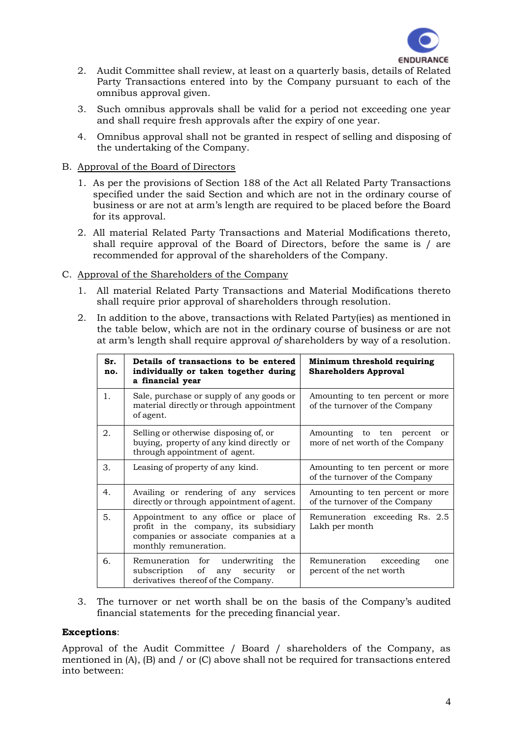

- 2. Audit Committee shall review, at least on a quarterly basis, details of Related Party Transactions entered into by the Company pursuant to each of the omnibus approval given.
- 3. Such omnibus approvals shall be valid for a period not exceeding one year and shall require fresh approvals after the expiry of one year.
- 4. Omnibus approval shall not be granted in respect of selling and disposing of the undertaking of the Company.

# B. Approval of the Board of Directors

- 1. As per the provisions of Section 188 of the Act all Related Party Transactions specified under the said Section and which are not in the ordinary course of business or are not at arm's length are required to be placed before the Board for its approval.
- 2. All material Related Party Transactions and Material Modifications thereto, shall require approval of the Board of Directors, before the same is / are recommended for approval of the shareholders of the Company.
- C. Approval of the Shareholders of the Company
	- 1. All material Related Party Transactions and Material Modifications thereto shall require prior approval of shareholders through resolution.
	- 2. In addition to the above, transactions with Related Party(ies) as mentioned in the table below, which are not in the ordinary course of business or are not at arm's length shall require approval *of* shareholders by way of a resolution.

| Sr.<br>no. | Details of transactions to be entered<br>individually or taken together during<br>a financial year                                               | Minimum threshold requiring<br><b>Shareholders Approval</b>                   |
|------------|--------------------------------------------------------------------------------------------------------------------------------------------------|-------------------------------------------------------------------------------|
| 1.         | Sale, purchase or supply of any goods or<br>material directly or through appointment<br>of agent.                                                | Amounting to ten percent or more<br>of the turnover of the Company            |
| 2.         | Selling or otherwise disposing of, or<br>buying, property of any kind directly or<br>through appointment of agent.                               | Amounting to ten percent<br><sub>or</sub><br>more of net worth of the Company |
| 3.         | Leasing of property of any kind.                                                                                                                 | Amounting to ten percent or more<br>of the turnover of the Company            |
| 4.         | Availing or rendering of any services<br>directly or through appointment of agent.                                                               | Amounting to ten percent or more<br>of the turnover of the Company            |
| 5.         | Appointment to any office or place of<br>profit in the company, its subsidiary<br>companies or associate companies at a<br>monthly remuneration. | Remuneration exceeding Rs. 2.5<br>Lakh per month                              |
| 6.         | Remuneration for underwriting<br>the<br>of any security<br>subscription<br>or<br>derivatives thereof of the Company.                             | Remuneration exceeding<br>one<br>percent of the net worth                     |

3. The turnover or net worth shall be on the basis of the Company's audited financial statements for the preceding financial year.

#### **Exceptions**:

Approval of the Audit Committee / Board / shareholders of the Company, as mentioned in (A), (B) and / or (C) above shall not be required for transactions entered into between: